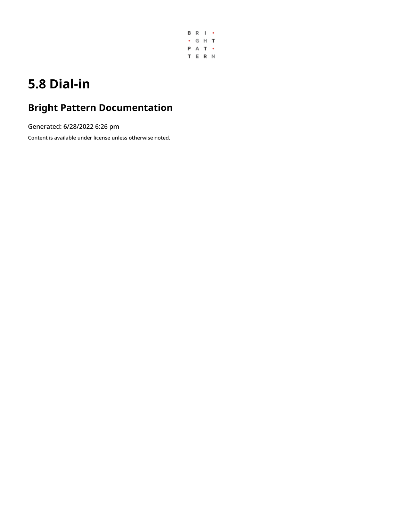

# **5.8 Dial-in**

## **Bright Pattern Documentation**

Generated: 6/28/2022 6:26 pm

Content is available under license unless otherwise noted.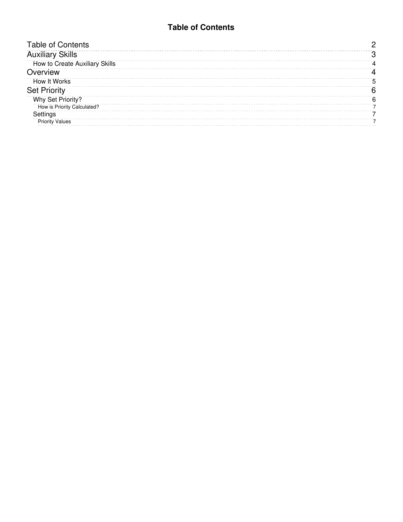#### **Table of Contents**

<span id="page-1-0"></span>

| <b>Table of Contents</b>              |   |
|---------------------------------------|---|
| <b>Auxiliary Skills</b>               |   |
| <b>How to Create Auxiliary Skills</b> |   |
| Overview                              |   |
| <b>How It Works</b>                   | 5 |
| <b>Set Priority</b>                   | 6 |
| Why Set Priority?                     | 6 |
| How is Priority Calculated?           |   |
| Settings                              |   |
| <b>Priority Values</b>                |   |
|                                       |   |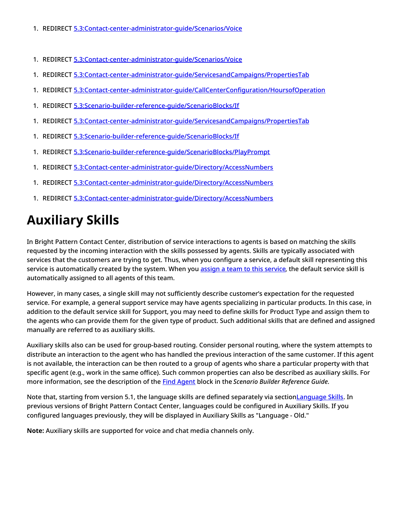- 1. REDIRECT [5.3:Contact-center-administrator-guide/Scenarios/Voice](https://help.brightpattern.com/5.3:Contact-center-administrator-guide/Scenarios/Voice)
- 1. REDIRECT [5.3:Contact-center-administrator-guide/Scenarios/Voice](https://help.brightpattern.com/5.3:Contact-center-administrator-guide/Scenarios/Voice)
- 1. REDIRECT [5.3:Contact-center-administrator-guide/ServicesandCampaigns/PropertiesTab](https://help.brightpattern.com/5.3:Contact-center-administrator-guide/ServicesandCampaigns/PropertiesTab)
- 1. REDIRECT [5.3:Contact-center-administrator-guide/CallCenterConfiguration/HoursofOperation](https://help.brightpattern.com/5.3:Contact-center-administrator-guide/CallCenterConfiguration/HoursofOperation)
- 1. REDIRECT [5.3:Scenario-builder-reference-guide/ScenarioBlocks/If](https://help.brightpattern.com/5.3:Scenario-builder-reference-guide/ScenarioBlocks/If)
- 1. REDIRECT [5.3:Contact-center-administrator-guide/ServicesandCampaigns/PropertiesTab](https://help.brightpattern.com/5.3:Contact-center-administrator-guide/ServicesandCampaigns/PropertiesTab)
- 1. REDIRECT [5.3:Scenario-builder-reference-guide/ScenarioBlocks/If](https://help.brightpattern.com/5.3:Scenario-builder-reference-guide/ScenarioBlocks/If)
- 1. REDIRECT [5.3:Scenario-builder-reference-guide/ScenarioBlocks/PlayPrompt](https://help.brightpattern.com/5.3:Scenario-builder-reference-guide/ScenarioBlocks/PlayPrompt)
- 1. REDIRECT [5.3:Contact-center-administrator-guide/Directory/AccessNumbers](https://help.brightpattern.com/5.3:Contact-center-administrator-guide/Directory/AccessNumbers)
- 1. REDIRECT [5.3:Contact-center-administrator-guide/Directory/AccessNumbers](https://help.brightpattern.com/5.3:Contact-center-administrator-guide/Directory/AccessNumbers)
- 1. REDIRECT [5.3:Contact-center-administrator-guide/Directory/AccessNumbers](https://help.brightpattern.com/5.3:Contact-center-administrator-guide/Directory/AccessNumbers)

# <span id="page-2-0"></span>**Auxiliary Skills**

In Bright Pattern Contact Center, distribution of service interactions to agents is based on matching the skills requested by the incoming interaction with the skills possessed by agents. Skills are typically associated with services that the customers are trying to get. Thus, when you configure a service, a default skill representing this service is automatically created by the system. When you assign a team to this [service,](https://help.brightpattern.com/5.8:Contact-center-administrator-guide/ScenarioEntries/Dial-in/?action=html-localimages-export#topic_contact-center-administrator-guide.2Fassignmentstab) the default service skill is automatically assigned to all agents of this team.

However, in many cases, a single skill may not sufficiently describe customer's expectation for the requested service. For example, a general support service may have agents specializing in particular products. In this case, in addition to the default service skill for Support, you may need to define skills for Product Type and assign them to the agents who can provide them for the given type of product. Such additional skills that are defined and assigned manually are referred to as auxiliary skills.

Auxiliary skills also can be used for group-based routing. Consider personal routing, where the system attempts to distribute an interaction to the agent who has handled the previous interaction of the same customer. If this agent is not available, the interaction can be then routed to a group of agents who share a particular property with that specific agent (e.g., work in the same office). Such common properties can also be described as auxiliary skills. For more information, see the description of the Find [Agent](https://help.brightpattern.com/5.8:Contact-center-administrator-guide/ScenarioEntries/Dial-in/?action=html-localimages-export#topic_scenario-builder-reference-guide.2Ffindagent) block in the *Scenario Builder Reference Guide*.

Note that, starting from version 5.1, the language skills are defined separately via sectio[nLanguage](https://help.brightpattern.com/5.8:Contact-center-administrator-guide/ScenarioEntries/Dial-in/?action=html-localimages-export#topic_contact-center-administrator-guide.2Flanguageskills) Skills. In previous versions of Bright Pattern Contact Center, languages could be configured in Auxiliary Skills. If you configured languages previously, they will be displayed in Auxiliary Skills as "Language - Old."

**Note:** Auxiliary skills are supported for voice and chat media channels only.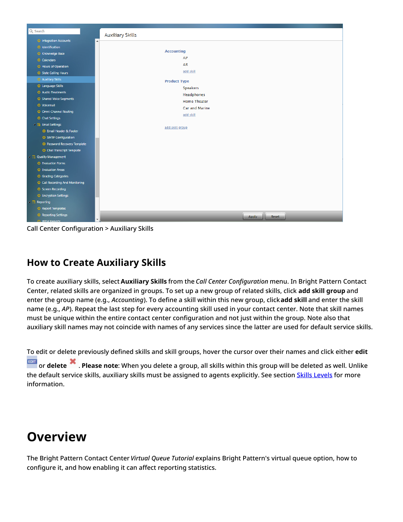

Call Center Configuration > Auxiliary Skills

### <span id="page-3-0"></span>**How to Create Auxiliary Skills**

To create auxiliary skills, select **Auxiliary Skills** from the *Call Center Configuration* menu. In Bright Pattern Contact Center, related skills are organized in groups. To set up a new group of related skills, click **add skill group** and enter the group name (e.g., *Accounting*). To define a skill within this new group, click**add skill** and enter the skill name (e.g., *AP*). Repeat the last step for every accounting skill used in your contact center. Note that skill names must be unique within the entire contact center configuration and not just within the group. Note also that auxiliary skill names may not coincide with names of any services since the latter are used for default service skills.

To edit or delete previously defined skills and skill groups, hover the cursor over their names and click either **edit** or **delete** . **Please note**: When you delete a group, all skills within this group will be deleted as well. Unlike the default service skills, auxiliary skills must be assigned to agents explicitly. See section Skills [Levels](https://help.brightpattern.com/5.8:Contact-center-administrator-guide/ScenarioEntries/Dial-in/?action=html-localimages-export#topic_contact-center-administrator-guide.2Fskilllevels) for more information.

## <span id="page-3-1"></span>**Overview**

The Bright Pattern Contact Center *Virtual Queue Tutorial* explains Bright Pattern's virtual queue option, how to configure it, and how enabling it can affect reporting statistics.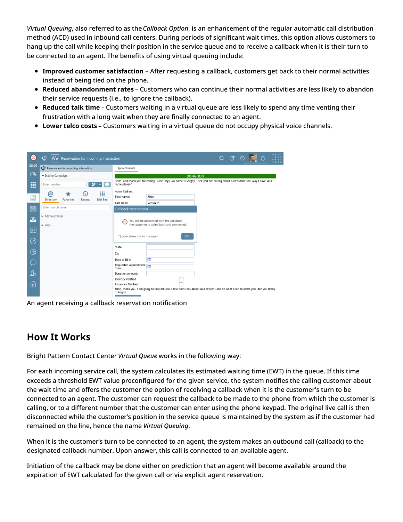*Virtual Queuing*, also referred to as the *Callback Option*, is an enhancement of the regular automatic call distribution method (ACD) used in inbound call centers. During periods of significant wait times, this option allows customers to hang up the call while keeping their position in the service queue and to receive a callback when it is their turn to be connected to an agent. The benefits of using virtual queuing include:

- **Improved customer satisfaction** After requesting a callback, customers get back to their normal activities instead of being tied on the phone.
- **Reduced abandonment rates** Customers who can continue their normal activities are less likely to abandon their service requests (i.e., to ignore the callback).
- **Reduced talk time** Customers waiting in a virtual queue are less likely to spend any time venting their frustration with a long wait when they are finally connected to an agent.
- **Lower telco costs** Customers waiting in a virtual queue do not occupy physical voice channels.

| 0          | ಄<br>Reservation for incoming interaction    |                                                                                                                                             |  | $\begin{picture}(60,6) \put(0,0){\circle*{1}} \put(15,0){\circle*{1}} \put(25,0){\circle*{1}} \put(35,0){\circle*{1}} \put(45,0){\circle*{1}} \put(55,0){\circle*{1}} \put(65,0){\circle*{1}} \put(75,0){\circle*{1}} \put(75,0){\circle*{1}} \put(75,0){\circle*{1}} \put(75,0){\circle*{1}} \put(75,0){\circle*{1}} \put(75,0){\circle*{1}} \put(75,0){\circle*{1}} \put(75,0){\circle*{1}} \$ |  | $B - R - I - \epsilon$<br>G H T<br>⋔<br><b>PAT -</b><br>TERN |
|------------|----------------------------------------------|---------------------------------------------------------------------------------------------------------------------------------------------|--|--------------------------------------------------------------------------------------------------------------------------------------------------------------------------------------------------------------------------------------------------------------------------------------------------------------------------------------------------------------------------------------------------|--|--------------------------------------------------------------|
| 00:06      | Reservation for incoming interaction         | Appointments                                                                                                                                |  |                                                                                                                                                                                                                                                                                                                                                                                                  |  |                                                              |
| $\bigodot$ | • Dialing Campaign                           | <b>DONATION</b>                                                                                                                             |  |                                                                                                                                                                                                                                                                                                                                                                                                  |  |                                                              |
| <b>III</b> | ッ<br>Enter number                            | Hello, and thank you for calling Guide Dogs. My name is Sergey. I see you are calling about a new donation. May I have your<br>name please? |  |                                                                                                                                                                                                                                                                                                                                                                                                  |  |                                                              |
|            | ₩<br>බ<br>$\Omega$                           | Home Address:                                                                                                                               |  |                                                                                                                                                                                                                                                                                                                                                                                                  |  |                                                              |
| 囙          | Directory<br>Favorites<br>Dial Pad<br>Recent | Alice<br>First Name:                                                                                                                        |  |                                                                                                                                                                                                                                                                                                                                                                                                  |  |                                                              |
| ■          | Enter search term                            | Vensmith<br>Last Name<br>Callback reservation                                                                                               |  |                                                                                                                                                                                                                                                                                                                                                                                                  |  |                                                              |
| ā          | Administrators<br>$\triangleright$ Reps      | You will be presented with the call once<br>(⊙<br>the customer is called back and connected.                                                |  |                                                                                                                                                                                                                                                                                                                                                                                                  |  |                                                              |
| [20]       |                                              | don't show this to me again<br>OK                                                                                                           |  |                                                                                                                                                                                                                                                                                                                                                                                                  |  |                                                              |
| ⊘          |                                              | State                                                                                                                                       |  |                                                                                                                                                                                                                                                                                                                                                                                                  |  |                                                              |
| $\bigcirc$ |                                              | Zip                                                                                                                                         |  |                                                                                                                                                                                                                                                                                                                                                                                                  |  |                                                              |
| (_)        |                                              | 雦<br>Date of Birth<br>Requested Appointment                                                                                                 |  |                                                                                                                                                                                                                                                                                                                                                                                                  |  |                                                              |
| 怎          |                                              | Time<br><b>Donation Amount:</b>                                                                                                             |  |                                                                                                                                                                                                                                                                                                                                                                                                  |  |                                                              |
|            |                                              | <b>Identity Verified</b>                                                                                                                    |  |                                                                                                                                                                                                                                                                                                                                                                                                  |  |                                                              |
| ⋒          |                                              | <b>Insurance Verified</b>                                                                                                                   |  |                                                                                                                                                                                                                                                                                                                                                                                                  |  |                                                              |
|            |                                              | Alice, thank you. I am going to now ask you a few questions about your request and do what I can to assist you. Are you ready<br>to begin?  |  |                                                                                                                                                                                                                                                                                                                                                                                                  |  |                                                              |

An agent receiving a callback reservation notification

### <span id="page-4-0"></span>**How It Works**

Bright Pattern Contact Center *Virtual Queue* works in the following way:

For each incoming service call, the system calculates its estimated waiting time (EWT) in the queue. If this time exceeds a threshold EWT value preconfigured for the given service, the system notifies the calling customer about the wait time and offers the customer the option of receiving a callback when it is the customer's turn to be connected to an agent. The customer can request the callback to be made to the phone from which the customer is calling, or to a different number that the customer can enter using the phone keypad. The original live call is then disconnected while the customer's position in the service queue is maintained by the system as if the customer had remained on the line, hence the name *Virtual Queuing*.

When it is the customer's turn to be connected to an agent, the system makes an outbound call (callback) to the designated callback number. Upon answer, this call is connected to an available agent.

Initiation of the callback may be done either on prediction that an agent will become available around the expiration of EWT calculated for the given call or via explicit agent reservation.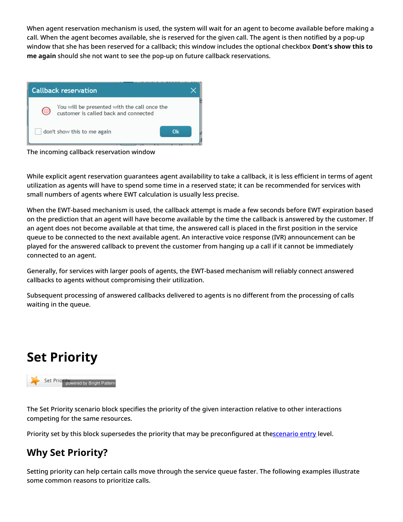When agent reservation mechanism is used, the system will wait for an agent to become available before making a call. When the agent becomes available, she is reserved for the given call. The agent is then notified by a pop-up window that she has been reserved for a callback; this window includes the optional checkbox **Dont's show this to me again** should she not want to see the pop-up on future callback reservations.



The incoming callback reservation window

While explicit agent reservation guarantees agent availability to take a callback, it is less efficient in terms of agent utilization as agents will have to spend some time in a reserved state; it can be recommended for services with small numbers of agents where EWT calculation is usually less precise.

When the EWT-based mechanism is used, the callback attempt is made a few seconds before EWT expiration based on the prediction that an agent will have become available by the time the callback is answered by the customer. If an agent does not become available at that time, the answered call is placed in the first position in the service queue to be connected to the next available agent. An interactive voice response (IVR) announcement can be played for the answered callback to prevent the customer from hanging up a call if it cannot be immediately connected to an agent.

Generally, for services with larger pools of agents, the EWT-based mechanism will reliably connect answered callbacks to agents without compromising their utilization.

Subsequent processing of answered callbacks delivered to agents is no different from the processing of calls waiting in the queue.

## <span id="page-5-0"></span>**Set Priority**



The Set Priority scenario block specifies the priority of the given interaction relative to other interactions competing for the same resources.

Priority set by this block supersedes the priority that may be preconfigured at th[escenario](https://help.brightpattern.com/5.8:Contact-center-administrator-guide/ScenarioEntries/Dial-in/?action=html-localimages-export#topic_contact-center-administrator-guide.2Fdial-in) entry level.

### <span id="page-5-1"></span>**Why Set Priority?**

Setting priority can help certain calls move through the service queue faster. The following examples illustrate some common reasons to prioritize calls.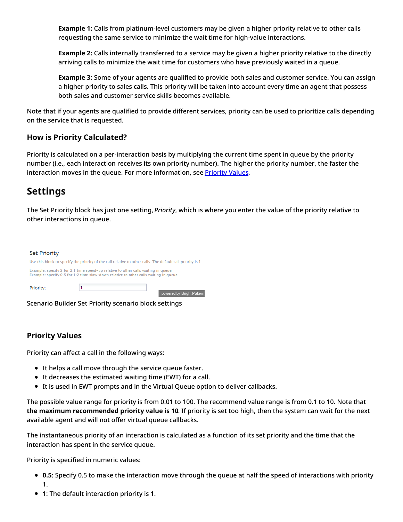**Example 1:** Calls from platinum-level customers may be given a higher priority relative to other calls requesting the same service to minimize the wait time for high-value interactions.

**Example 2:** Calls internally transferred to a service may be given a higher priority relative to the directly arriving calls to minimize the wait time for customers who have previously waited in a queue.

**Example 3:** Some of your agents are qualified to provide both sales and customer service. You can assign a higher priority to sales calls. This priority will be taken into account every time an agent that possess both sales and customer service skills becomes available.

Note that if your agents are qualified to provide different services, priority can be used to prioritize calls depending on the service that is requested.

#### <span id="page-6-0"></span>**How is Priority Calculated?**

Priority is calculated on a per-interaction basis by multiplying the current time spent in queue by the priority number (i.e., each interaction receives its own priority number). The higher the priority number, the faster the interaction moves in the queue. For more information, see **[Priority](https://help.brightpattern.com/5.8:Contact-center-administrator-guide/ScenarioEntries/Dial-in/?action=html-localimages-export#Priority_Values) Values**.

#### <span id="page-6-1"></span>**Settings**

The Set Priority block has just one setting, *Priority*, which is where you enter the value of the priority relative to other interactions in queue.

| <b>Set Priority</b>                                                                                                                                                       |                                                       |                           |  |  |  |  |  |
|---------------------------------------------------------------------------------------------------------------------------------------------------------------------------|-------------------------------------------------------|---------------------------|--|--|--|--|--|
| Use this block to specify the priority of the call relative to other calls. The default call priority is 1.                                                               |                                                       |                           |  |  |  |  |  |
| Example: specify 2 for 2:1 time speed-up relative to other calls waiting in queue<br>Example: specify 0.5 for 1:2 time slow-down relative to other calls waiting in queue |                                                       |                           |  |  |  |  |  |
| Priority:                                                                                                                                                                 |                                                       | powered by Bright Pattern |  |  |  |  |  |
|                                                                                                                                                                           | Scenario Builder Set Priority scenario block settings |                           |  |  |  |  |  |

#### <span id="page-6-2"></span>**Priority Values**

Priority can affect a call in the following ways:

- It helps a call move through the service queue faster.
- It decreases the estimated waiting time (EWT) for a call.
- It is used in EWT prompts and in the Virtual Queue option to deliver callbacks.

The possible value range for priority is from 0.01 to 100. The recommend value range is from 0.1 to 10. Note that **the maximum recommended priority value is 10**. If priority is set too high, then the system can wait for the next available agent and will not offer virtual queue callbacks.

The instantaneous priority of an interaction is calculated as a function of its set priority and the time that the interaction has spent in the service queue.

Priority is specified in numeric values:

- **0.5**: Specify 0.5 to make the interaction move through the queue at half the speed of interactions with priority 1.
- **1**: The default interaction priority is 1.